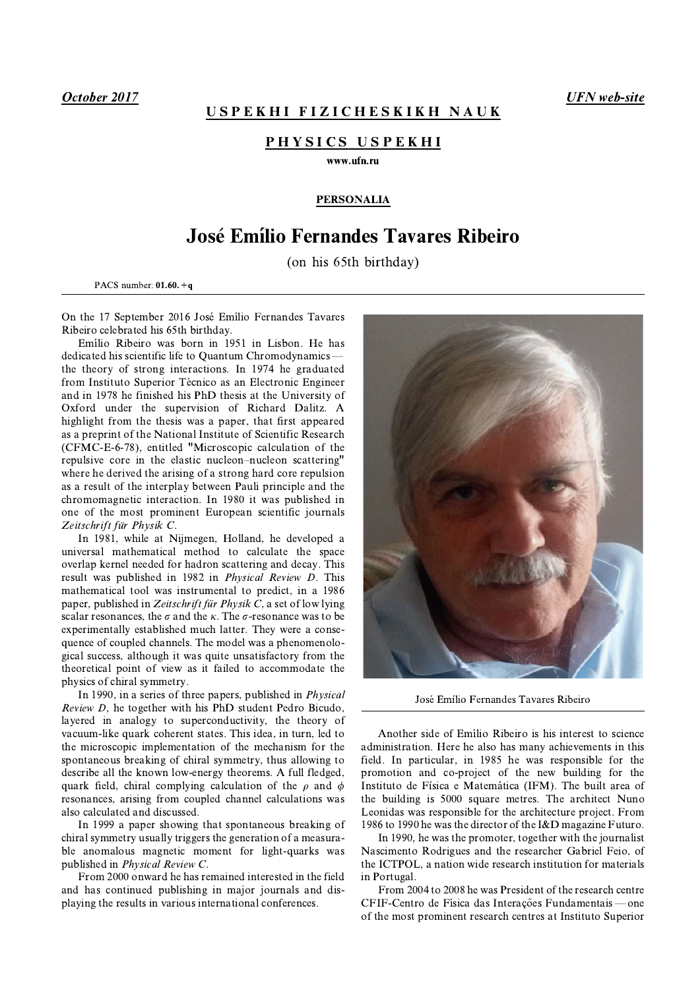## USPEKHI FIZICHESKIKH NAUK

## PHYSICS USPEKHI www.ufn.ru

## **PERSONALIA**

## José Emílio Fernandes Tavares Ribeiro

(on his 65th birthday)

PACS number:  $01.60 + q$ 

On the 17 September 2016 José Emílio Fernandes Tavares Ribeiro celebrated his 65th birthday.

Emílio Ribeiro was born in 1951 in Lisbon. He has dedicated his scientific life to Quantum Chromodynamics the theory of strong interactions. In 1974 he graduated from Instituto Superior Técnico as an Electronic Engineer and in 1978 he finished his PhD thesis at the University of Oxford under the supervision of Richard Dalitz. A highlight from the thesis was a paper, that first appeared as a preprint of the National Institute of Scientific Research (CFMC-E-6-78), entitled "Microscopic calculation of the repulsive core in the elastic nucleon-nucleon scattering" where he derived the arising of a strong hard core repulsion as a result of the interplay between Pauli principle and the chromomagnetic interaction. In 1980 it was published in one of the most prominent European scientific journals Zeitschrift für Physik C.

In 1981, while at Nijmegen, Holland, he developed a universal mathematical method to calculate the space overlap kernel needed for hadron scattering and decay. This result was published in 1982 in *Physical Review D.* This mathematical tool was instrumental to predict, in a 1986 paper, published in Zeitschrift für Physik C, a set of low lying scalar resonances, the  $\sigma$  and the  $\kappa$ . The  $\sigma$ -resonance was to be experimentally established much latter. They were a consequence of coupled channels. The model was a phenomenological success, although it was quite unsatisfactory from the theoretical point of view as it failed to accommodate the physics of chiral symmetry.

In 1990, in a series of three papers, published in *Physical* Review D, he together with his PhD student Pedro Bicudo, layered in analogy to superconductivity, the theory of vacuum-like quark coherent states. This idea, in turn, led to the microscopic implementation of the mechanism for the spontaneous breaking of chiral symmetry, thus allowing to describe all the known low-energy theorems. A full fledged, quark field, chiral complying calculation of the  $\rho$  and  $\phi$ resonances, arising from coupled channel calculations was also calculated and discussed.

In 1999 a paper showing that spontaneous breaking of chiral symmetry usually triggers the generation of a measurable anomalous magnetic moment for light-quarks was published in *Physical Review C.* 

From 2000 onward he has remained interested in the field and has continued publishing in major journals and displaying the results in various international conferences.



José Emílio Fernandes Tavares Ribeiro

Another side of Emilio Ribeiro is his interest to science administration. Here he also has many achievements in this field. In particular, in 1985 he was responsible for the promotion and co-project of the new building for the Instituto de Física e Matemática (IFM). The built area of the building is 5000 square metres. The architect Nuno Leonidas was responsible for the architecture project. From 1986 to 1990 he was the director of the I&D magazine Futuro.

In 1990, he was the promoter, together with the journalist Nascimento Rodrigues and the researcher Gabriel Feio, of the ICTPOL, a nation wide research institution for materials in Portugal.

From 2004 to 2008 he was President of the research centre CFIF-Centro de Física das Interações Fundamentais — one of the most prominent research centres at Instituto Superior